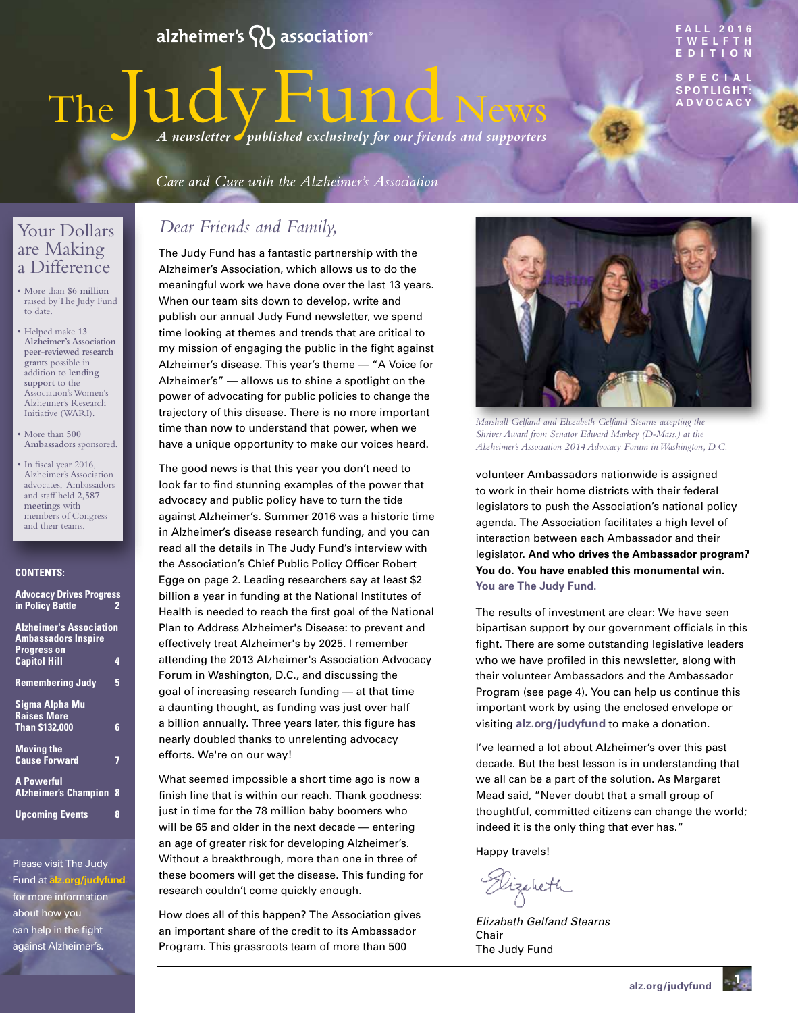## alzheimer's  $\mathsf{Q}\mathsf{S}$  association $^{\circ}$

# The Judy Fund News SPECIAL SPOTLIGHT: *A newsletter published exclusively for our friends and supporters*

Care and Cure with the Alzheimer's Association

### Your Dollars are Making a Difference

- More than **\$6 million** raised by The Judy Fund to date.
- Helped make **13 Alzheimer's Association peer-reviewed research grants** possible in addition to **lending support** to the Association's Women's Alzheimer's Research Initiative (WARI).
- More than **500 Ambassadors** sponsored.
- In fiscal year 2016, Alzheimer's Association advocates, Ambassadors and staff held **2,587 meetings** with members of Congress and their teams.

#### **CONTENTS:**

| <b>Advocacy Drives Progress</b> |   |
|---------------------------------|---|
| in Policy Battle                | 2 |
|                                 |   |
| <b>Alzheimer's Association</b>  |   |
| <b>Ambassadors Inspire</b>      |   |
| <b>Progress on</b>              |   |
| <b>Capitol Hill</b>             | 4 |
|                                 |   |
| <b>Remembering Judy</b>         | 5 |
|                                 |   |
| Sigma Alpha Mu                  |   |
| <b>Raises More</b>              |   |
| <b>Than \$132,000</b>           | 6 |
|                                 |   |
| <b>Moving the</b>               |   |
| <b>Cause Forward</b>            | 7 |
|                                 |   |
| <b>A Powerful</b>               |   |
| <b>Alzheimer's Champion</b>     | 8 |
|                                 | 8 |
| <b>Upcoming Events</b>          |   |

Please visit The Judy Fund at **[alz.org/judyfund](http://www.alz.org/judyfund)** for more information about how you can help in the fight against Alzheimer's.

### *Dear Friends and Family,*

The Judy Fund has a fantastic partnership with the Alzheimer's Association, which allows us to do the meaningful work we have done over the last 13 years. When our team sits down to develop, write and publish our annual Judy Fund newsletter, we spend time looking at themes and trends that are critical to my mission of engaging the public in the fight against Alzheimer's disease. This year's theme — "A Voice for Alzheimer's" — allows us to shine a spotlight on the power of advocating for public policies to change the trajectory of this disease. There is no more important time than now to understand that power, when we have a unique opportunity to make our voices heard.

The good news is that this year you don't need to look far to find stunning examples of the power that advocacy and public policy have to turn the tide against Alzheimer's. Summer 2016 was a historic time in Alzheimer's disease research funding, and you can read all the details in The Judy Fund's interview with the Association's Chief Public Policy Officer Robert Egge on page 2. Leading researchers say at least \$2 billion a year in funding at the National Institutes of Health is needed to reach the first goal of the National Plan to Address Alzheimer's Disease: to prevent and effectively treat Alzheimer's by 2025. I remember attending the 2013 Alzheimer's Association Advocacy Forum in Washington, D.C., and discussing the goal of increasing research funding — at that time a daunting thought, as funding was just over half a billion annually. Three years later, this figure has nearly doubled thanks to unrelenting advocacy efforts. We're on our way!

What seemed impossible a short time ago is now a finish line that is within our reach. Thank goodness: just in time for the 78 million baby boomers who will be 65 and older in the next decade — entering an age of greater risk for developing Alzheimer's. Without a breakthrough, more than one in three of these boomers will get the disease. This funding for research couldn't come quickly enough.

How does all of this happen? The Association gives an important share of the credit to its Ambassador Program. This grassroots team of more than 500

*Marshall Gelfand and Elizabeth Gelfand Stearns accepting the Shriver Award from Senator Edward Markey (D-Mass.) at the Alzheimer's Association 2014 Advocacy Forum in Washington, D.C.*

volunteer Ambassadors nationwide is assigned to work in their home districts with their federal legislators to push the Association's national policy agenda. The Association facilitates a high level of interaction between each Ambassador and their legislator. **And who drives the Ambassador program? You do. You have enabled this monumental win. You are The Judy Fund.**

The results of investment are clear: We have seen bipartisan support by our government officials in this fight. There are some outstanding legislative leaders who we have profiled in this newsletter, along with their volunteer Ambassadors and the Ambassador Program (see page 4). You can help us continue this important work by using the enclosed envelope or visiting **alz.org/judyfund** to make a donation.

I've learned a lot about Alzheimer's over this past decade. But the best lesson is in understanding that we all can be a part of the solution. As Margaret Mead said, "Never doubt that a small group of thoughtful, committed citizens can change the world; indeed it is the only thing that ever has."

Happy travels!

Dizabeth

*Elizabeth Gelfand Stearns* Chair The Judy Fund

**1 alz.org/judyfund**



#### **FALL 2016 TWELFTH EDIT**

**S P E C I A L SPOTLIGHT:**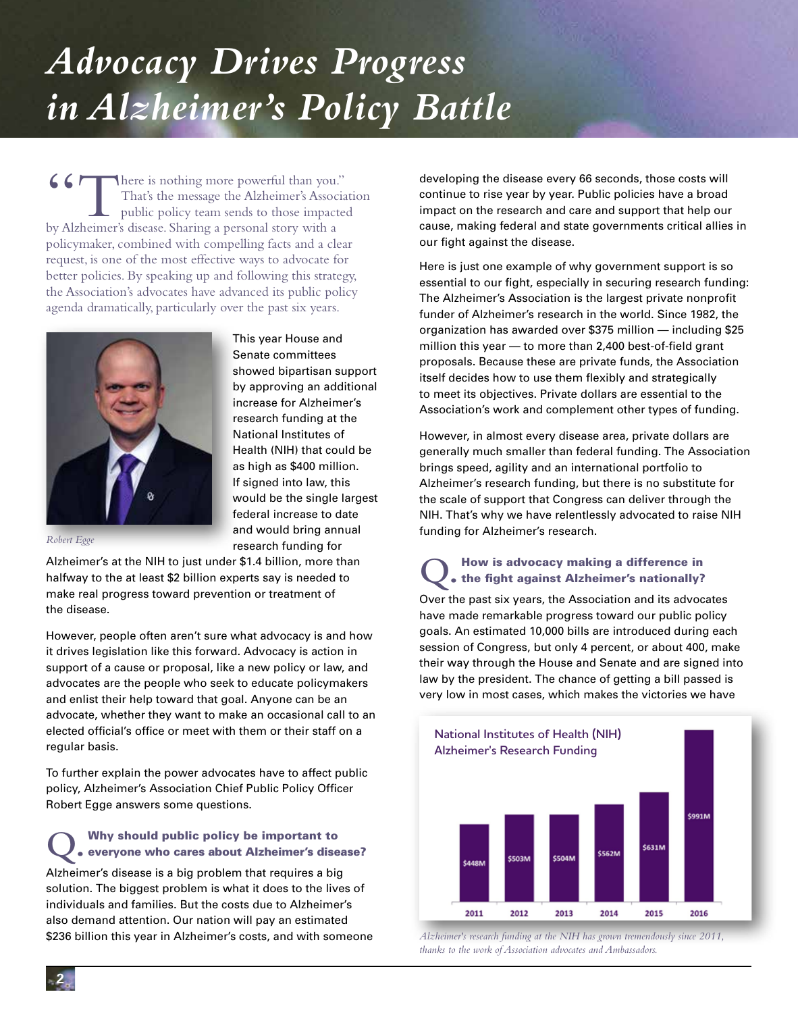# <span id="page-1-0"></span>*Advocacy Drives Progress in Alzheimer's Policy Battle*

(Charling more powerful than you."<br>That's the message the Alzheimer's Associa<br>public policy team sends to those impacte That's the message the Alzheimer's Association public policy team sends to those impacted by Alzheimer's disease. Sharing a personal story with a policymaker, combined with compelling facts and a clear request, is one of the most effective ways to advocate for better policies. By speaking up and following this strategy, the Association's advocates have advanced its public policy agenda dramatically, particularly over the past six years.



This year House and Senate committees showed bipartisan support by approving an additional increase for Alzheimer's research funding at the National Institutes of Health (NIH) that could be as high as \$400 million. If signed into law, this would be the single largest federal increase to date and would bring annual research funding for

*Robert Egge*

Alzheimer's at the NIH to just under \$1.4 billion, more than halfway to the at least \$2 billion experts say is needed to make real progress toward prevention or treatment of the disease.

However, people often aren't sure what advocacy is and how it drives legislation like this forward. Advocacy is action in support of a cause or proposal, like a new policy or law, and advocates are the people who seek to educate policymakers and enlist their help toward that goal. Anyone can be an advocate, whether they want to make an occasional call to an elected official's office or meet with them or their staff on a regular basis.

To further explain the power advocates have to affect public policy, Alzheimer's Association Chief Public Policy Officer Robert Egge answers some questions.

## **Q.** Why should public policy be important to<br>
everyone who cares about Alzheimer's disease? Alzheimer's disease is a big problem that requires a big

solution. The biggest problem is what it does to the lives of individuals and families. But the costs due to Alzheimer's also demand attention. Our nation will pay an estimated \$236 billion this year in Alzheimer's costs, and with someone

developing the disease every 66 seconds, those costs will continue to rise year by year. Public policies have a broad impact on the research and care and support that help our cause, making federal and state governments critical allies in our fight against the disease.

Here is just one example of why government support is so essential to our fight, especially in securing research funding: The Alzheimer's Association is the largest private nonprofit funder of Alzheimer's research in the world. Since 1982, the organization has awarded over \$375 million — including \$25 million this year — to more than 2,400 best-of-field grant proposals. Because these are private funds, the Association itself decides how to use them flexibly and strategically to meet its objectives. Private dollars are essential to the Association's work and complement other types of funding.

However, in almost every disease area, private dollars are generally much smaller than federal funding. The Association brings speed, agility and an international portfolio to Alzheimer's research funding, but there is no substitute for the scale of support that Congress can deliver through the NIH. That's why we have relentlessly advocated to raise NIH funding for Alzheimer's research.

# **Q.** How is advocacy making a difference in the fight against Alzheimer's nationally?

Over the past six years, the Association and its advocates have made remarkable progress toward our public policy goals. An estimated 10,000 bills are introduced during each session of Congress, but only 4 percent, or about 400, make their way through the House and Senate and are signed into law by the president. The chance of getting a bill passed is very low in most cases, which makes the victories we have



*Alzheimer's research funding at the NIH has grown tremendously since 2011, thanks to the work of Association advocates and Ambassadors.*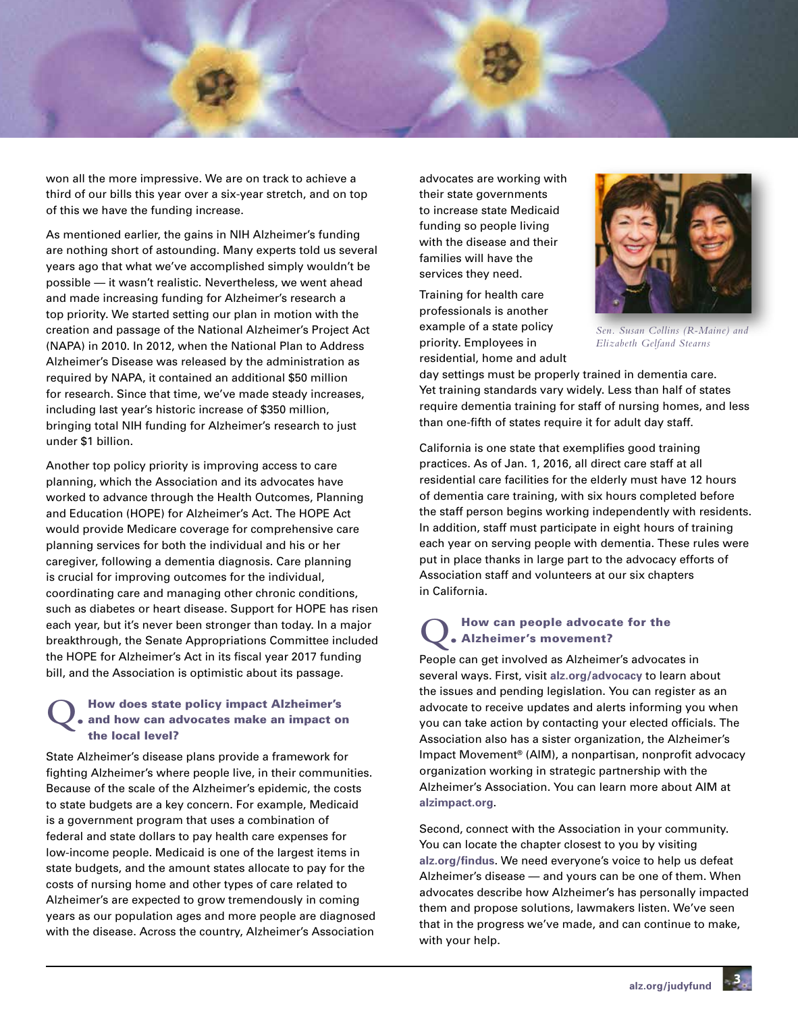

won all the more impressive. We are on track to achieve a third of our bills this year over a six-year stretch, and on top of this we have the funding increase.

As mentioned earlier, the gains in NIH Alzheimer's funding are nothing short of astounding. Many experts told us several years ago that what we've accomplished simply wouldn't be possible — it wasn't realistic. Nevertheless, we went ahead and made increasing funding for Alzheimer's research a top priority. We started setting our plan in motion with the creation and passage of the National Alzheimer's Project Act (NAPA) in 2010. In 2012, when the National Plan to Address Alzheimer's Disease was released by the administration as required by NAPA, it contained an additional \$50 million for research. Since that time, we've made steady increases, including last year's historic increase of \$350 million, bringing total NIH funding for Alzheimer's research to just under \$1 billion.

Another top policy priority is improving access to care planning, which the Association and its advocates have worked to advance through the Health Outcomes, Planning and Education (HOPE) for Alzheimer's Act. The HOPE Act would provide Medicare coverage for comprehensive care planning services for both the individual and his or her caregiver, following a dementia diagnosis. Care planning is crucial for improving outcomes for the individual, coordinating care and managing other chronic conditions, such as diabetes or heart disease. Support for HOPE has risen each year, but it's never been stronger than today. In a major breakthrough, the Senate Appropriations Committee included the HOPE for Alzheimer's Act in its fiscal year 2017 funding bill, and the Association is optimistic about its passage.

### **Q.** How does state policy impact Alzheimer's and how can advocates make an impact on the local level?

State Alzheimer's disease plans provide a framework for fighting Alzheimer's where people live, in their communities. Because of the scale of the Alzheimer's epidemic, the costs to state budgets are a key concern. For example, Medicaid is a government program that uses a combination of federal and state dollars to pay health care expenses for low-income people. Medicaid is one of the largest items in state budgets, and the amount states allocate to pay for the costs of nursing home and other types of care related to Alzheimer's are expected to grow tremendously in coming years as our population ages and more people are diagnosed with the disease. Across the country, Alzheimer's Association

advocates are working with their state governments to increase state Medicaid funding so people living with the disease and their families will have the services they need.

Training for health care professionals is another example of a state policy priority. Employees in residential, home and adult



*Sen. Susan Collins (R-Maine) and Elizabeth Gelfand Stearns*

day settings must be properly trained in dementia care. Yet training standards vary widely. Less than half of states require dementia training for staff of nursing homes, and less than one-fifth of states require it for adult day staff.

California is one state that exemplifies good training practices. As of Jan. 1, 2016, all direct care staff at all residential care facilities for the elderly must have 12 hours of dementia care training, with six hours completed before the staff person begins working independently with residents. In addition, staff must participate in eight hours of training each year on serving people with dementia. These rules were put in place thanks in large part to the advocacy efforts of Association staff and volunteers at our six chapters in California.

#### **Q.** How can people advocate for the Alzheimer's movement?

People can get involved as Alzheimer's advocates in several ways. First, visit **alz.org/advocacy** to learn about the issues and pending legislation. You can register as an advocate to receive updates and alerts informing you when you can take action by contacting your elected officials. The Association also has a sister organization, the Alzheimer's Impact Movement® (AIM), a nonpartisan, nonprofit advocacy organization working in strategic partnership with the Alzheimer's Association. You can learn more about AIM at **alzimpact.org**.

Second, connect with the Association in your community. You can locate the chapter closest to you by visiting **alz.org/findus**. We need everyone's voice to help us defeat Alzheimer's disease — and yours can be one of them. When advocates describe how Alzheimer's has personally impacted them and propose solutions, lawmakers listen. We've seen that in the progress we've made, and can continue to make, with your help.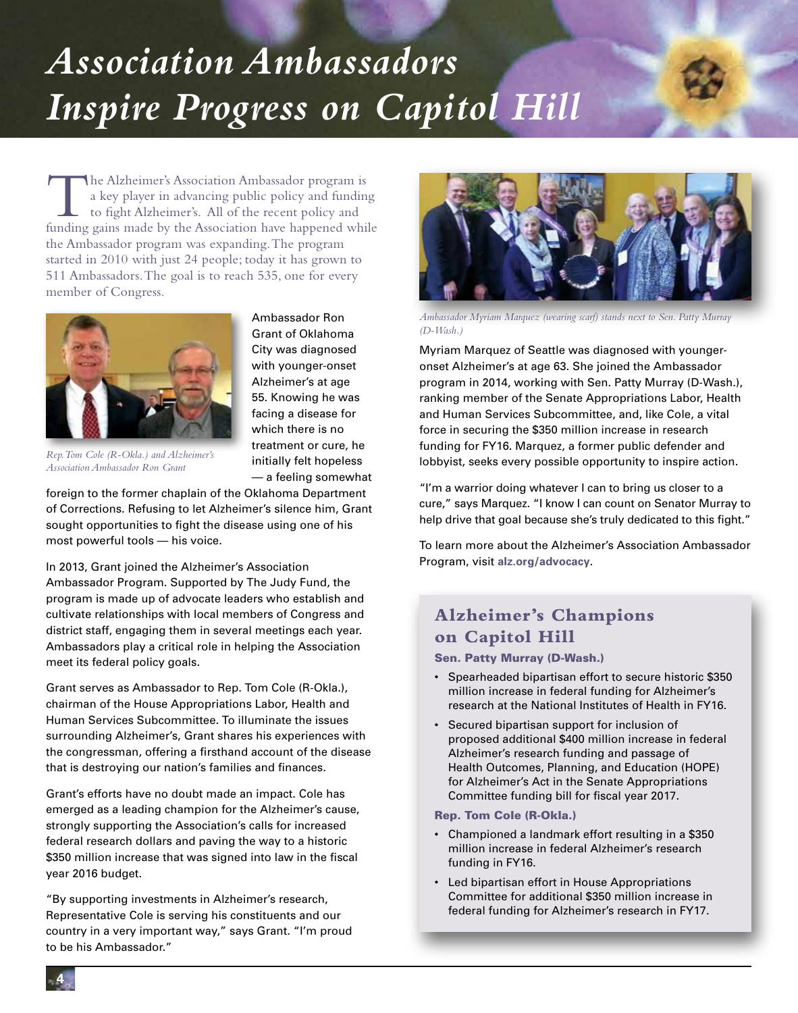# *Association Ambassadors Inspire Progress on Capitol Hill*

The Alzheimer's Association Ambassador program is a key player in advancing public policy and funding to fight Alzheimer's. All of the recent policy and funding gains made by the Association have happened while the Ambassador program was expanding. The program started in 2010 with just 24 people; today it has grown to 511 Ambassadors. The goal is to reach 535, one for every member of Congress.



Ambassador Ron Grant of Oklahoma City was diagnosed with younger-onset Alzheimer's at age 55. Knowing he was facing a disease for which there is no treatment or cure, he initially felt hopeless — a feeling somewhat

*Rep. Tom Cole (R-Okla.) and Alzheimer's Association Ambassador Ron Grant*

foreign to the former chaplain of the Oklahoma Department of Corrections. Refusing to let Alzheimer's silence him, Grant sought opportunities to fight the disease using one of his most powerful tools — his voice.

In 2013, Grant joined the Alzheimer's Association

Ambassador Program. Supported by The Judy Fund, the program is made up of advocate leaders who establish and cultivate relationships with local members of Congress and district staff, engaging them in several meetings each year. Ambassadors play a critical role in helping the Association meet its federal policy goals.

Grant serves as Ambassador to Rep. Tom Cole (R-Okla.), chairman of the House Appropriations Labor, Health and Human Services Subcommittee. To illuminate the issues surrounding Alzheimer's, Grant shares his experiences with the congressman, offering a firsthand account of the disease that is destroying our nation's families and finances.

Grant's efforts have no doubt made an impact. Cole has emerged as a leading champion for the Alzheimer's cause, strongly supporting the Association's calls for increased federal research dollars and paving the way to a historic \$350 million increase that was signed into law in the fiscal year 2016 budget.

"By supporting investments in Alzheimer's research, Representative Cole is serving his constituents and our country in a very important way," says Grant. "I'm proud to be his Ambassador."



*Ambassador Myriam Marquez (wearing scarf) stands next to Sen. Patty Murray (D-Wash.)*

Myriam Marquez of Seattle was diagnosed with youngeronset Alzheimer's at age 63. She joined the Ambassador program in 2014, working with Sen. Patty Murray (D-Wash.), ranking member of the Senate Appropriations Labor, Health and Human Services Subcommittee, and, like Cole, a vital force in securing the \$350 million increase in research funding for FY16. Marquez, a former public defender and lobbyist, seeks every possible opportunity to inspire action.

"I'm a warrior doing whatever I can to bring us closer to a cure," says Marquez. "I know I can count on Senator Murray to help drive that goal because she's truly dedicated to this fight."

To learn more about the Alzheimer's Association Ambassador Program, visit **alz.org/advocacy**.

### **Alzheimer's Champions on Capitol Hill**

Sen. Patty Murray (D-Wash.)

- Spearheaded bipartisan effort to secure historic \$350 million increase in federal funding for Alzheimer's research at the National Institutes of Health in FY16.
- Secured bipartisan support for inclusion of proposed additional \$400 million increase in federal Alzheimer's research funding and passage of Health Outcomes, Planning, and Education (HOPE) for Alzheimer's Act in the Senate Appropriations Committee funding bill for fiscal year 2017.

Rep. Tom Cole (R-Okla.)

- Championed a landmark effort resulting in a \$350 million increase in federal Alzheimer's research funding in FY16.
- Led bipartisan effort in House Appropriations Committee for additional \$350 million increase in federal funding for Alzheimer's research in FY17.

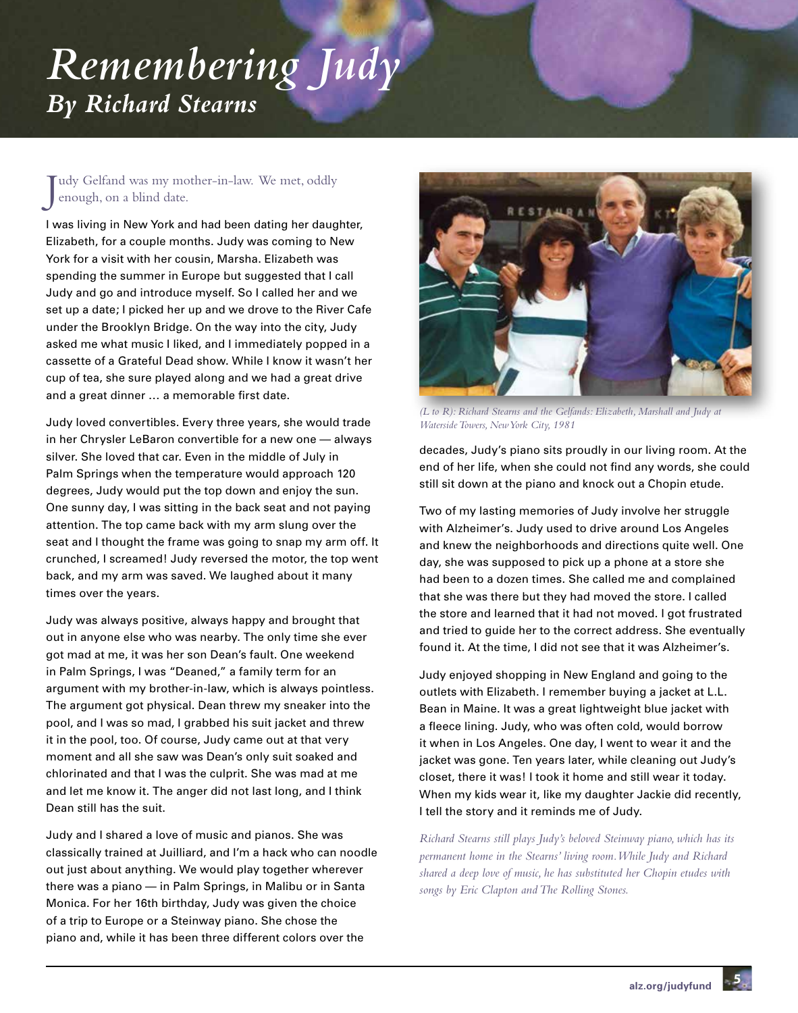# *Remembering Judy By Richard Stearns*

J udy Gelfand was my mother-in-law. We met, oddly enough, on a blind date.

I was living in New York and had been dating her daughter, Elizabeth, for a couple months. Judy was coming to New York for a visit with her cousin, Marsha. Elizabeth was spending the summer in Europe but suggested that I call Judy and go and introduce myself. So I called her and we set up a date; I picked her up and we drove to the River Cafe under the Brooklyn Bridge. On the way into the city, Judy asked me what music I liked, and I immediately popped in a cassette of a Grateful Dead show. While I know it wasn't her cup of tea, she sure played along and we had a great drive and a great dinner … a memorable first date.

Judy loved convertibles. Every three years, she would trade in her Chrysler LeBaron convertible for a new one — always silver. She loved that car. Even in the middle of July in Palm Springs when the temperature would approach 120 degrees, Judy would put the top down and enjoy the sun. One sunny day, I was sitting in the back seat and not paying attention. The top came back with my arm slung over the seat and I thought the frame was going to snap my arm off. It crunched, I screamed! Judy reversed the motor, the top went back, and my arm was saved. We laughed about it many times over the years.

Judy was always positive, always happy and brought that out in anyone else who was nearby. The only time she ever got mad at me, it was her son Dean's fault. One weekend in Palm Springs, I was "Deaned," a family term for an argument with my brother-in-law, which is always pointless. The argument got physical. Dean threw my sneaker into the pool, and I was so mad, I grabbed his suit jacket and threw it in the pool, too. Of course, Judy came out at that very moment and all she saw was Dean's only suit soaked and chlorinated and that I was the culprit. She was mad at me and let me know it. The anger did not last long, and I think Dean still has the suit.

Judy and I shared a love of music and pianos. She was classically trained at Juilliard, and I'm a hack who can noodle out just about anything. We would play together wherever there was a piano — in Palm Springs, in Malibu or in Santa Monica. For her 16th birthday, Judy was given the choice of a trip to Europe or a Steinway piano. She chose the piano and, while it has been three different colors over the



*(L to R): Richard Stearns and the Gelfands: Elizabeth, Marshall and Judy at Waterside Towers, New York City, 1981*

decades, Judy's piano sits proudly in our living room. At the end of her life, when she could not find any words, she could still sit down at the piano and knock out a Chopin etude.

Two of my lasting memories of Judy involve her struggle with Alzheimer's. Judy used to drive around Los Angeles and knew the neighborhoods and directions quite well. One day, she was supposed to pick up a phone at a store she had been to a dozen times. She called me and complained that she was there but they had moved the store. I called the store and learned that it had not moved. I got frustrated and tried to guide her to the correct address. She eventually found it. At the time, I did not see that it was Alzheimer's.

Judy enjoyed shopping in New England and going to the outlets with Elizabeth. I remember buying a jacket at L.L. Bean in Maine. It was a great lightweight blue jacket with a fleece lining. Judy, who was often cold, would borrow it when in Los Angeles. One day, I went to wear it and the jacket was gone. Ten years later, while cleaning out Judy's closet, there it was! I took it home and still wear it today. When my kids wear it, like my daughter Jackie did recently, I tell the story and it reminds me of Judy.

*Richard Stearns still plays Judy's beloved Steinway piano, which has its permanent home in the Stearns' living room. While Judy and Richard shared a deep love of music, he has substituted her Chopin etudes with songs by Eric Clapton and The Rolling Stones.*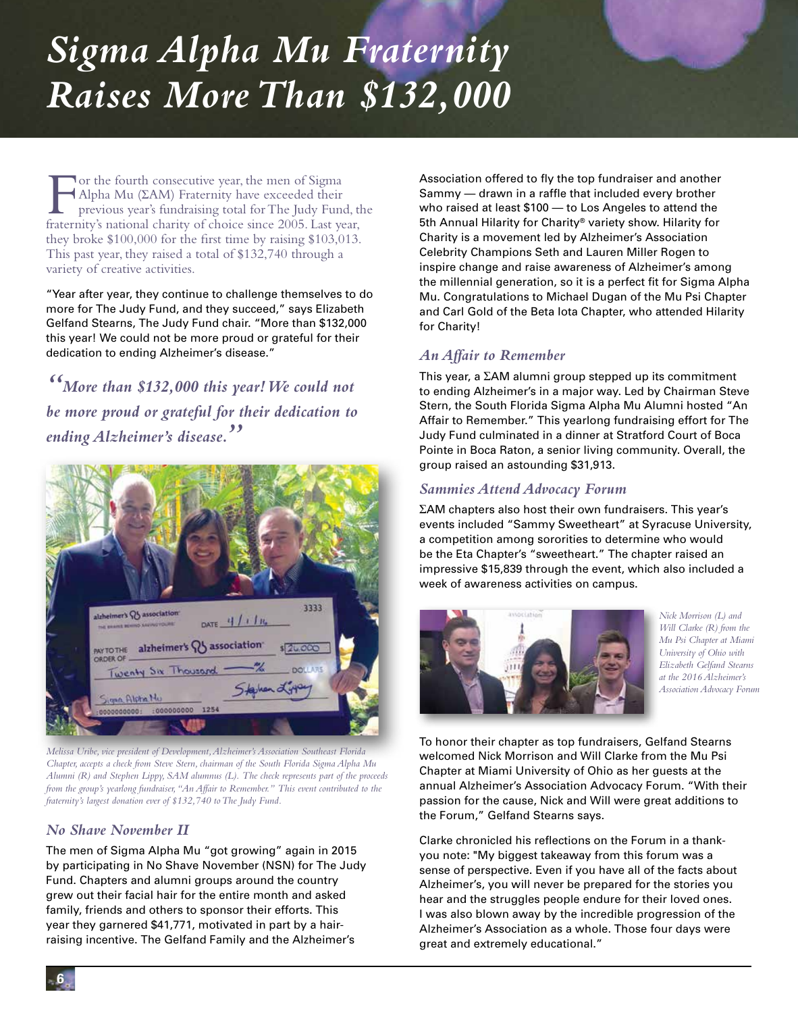# *Sigma Alpha Mu Fraternity Raises More Than \$132,000*

For the fourth consecutive year, the men of Sigma<br>Alpha Mu (ΣAM) Fraternity have exceeded their<br>previous year's fundraising total for The Judy Fund<br>fraternity's national charity of choice since 2005. Last ye Alpha Mu (ΣAM) Fraternity have exceeded their previous year's fundraising total for The Judy Fund, the fraternity's national charity of choice since 2005. Last year, they broke \$100,000 for the first time by raising \$103,013. This past year, they raised a total of \$132,740 through a variety of creative activities.

"Year after year, they continue to challenge themselves to do more for The Judy Fund, and they succeed," says Elizabeth Gelfand Stearns, The Judy Fund chair. "More than \$132,000 this year! We could not be more proud or grateful for their dedication to ending Alzheimer's disease."

*"More than \$132,000 this year! We could not be more proud or grateful for their dedication to ending Alzheimer's disease."*



*Melissa Uribe, vice president of Development, Alzheimer's Association Southeast Florida Chapter, accepts a check from Steve Stern, chairman of the South Florida Sigma Alpha Mu Alumni (R) and Stephen Lippy, SAM alumnus (L). The check represents part of the proceeds from the group's yearlong fundraiser, "An Affair to Remember." This event contributed to the fraternity's largest donation ever of \$132,740 to The Judy Fund.*

#### *No Shave November II*

The men of Sigma Alpha Mu "got growing" again in 2015 by participating in No Shave November (NSN) for The Judy Fund. Chapters and alumni groups around the country grew out their facial hair for the entire month and asked family, friends and others to sponsor their efforts. This year they garnered \$41,771, motivated in part by a hairraising incentive. The Gelfand Family and the Alzheimer's

Association offered to fly the top fundraiser and another Sammy — drawn in a raffle that included every brother who raised at least \$100 — to Los Angeles to attend the 5th Annual Hilarity for Charity® variety show. Hilarity for Charity is a movement led by Alzheimer's Association Celebrity Champions Seth and Lauren Miller Rogen to inspire change and raise awareness of Alzheimer's among the millennial generation, so it is a perfect fit for Sigma Alpha Mu. Congratulations to Michael Dugan of the Mu Psi Chapter and Carl Gold of the Beta Iota Chapter, who attended Hilarity for Charity!

#### *An Affair to Remember*

This year, a ΣAM alumni group stepped up its commitment to ending Alzheimer's in a major way. Led by Chairman Steve Stern, the South Florida Sigma Alpha Mu Alumni hosted "An Affair to Remember." This yearlong fundraising effort for The Judy Fund culminated in a dinner at Stratford Court of Boca Pointe in Boca Raton, a senior living community. Overall, the group raised an astounding \$31,913.

#### *Sammies Attend Advocacy Forum*

ΣAM chapters also host their own fundraisers. This year's events included "Sammy Sweetheart" at Syracuse University, a competition among sororities to determine who would be the Eta Chapter's "sweetheart." The chapter raised an impressive \$15,839 through the event, which also included a week of awareness activities on campus.



*Nick Morrison (L) and Will Clarke (R) from the Mu Psi Chapter at Miami University of Ohio with Elizabeth Gelfand Stearns at the 2016 Alzheimer's Association Advocacy Forum*

To honor their chapter as top fundraisers, Gelfand Stearns welcomed Nick Morrison and Will Clarke from the Mu Psi Chapter at Miami University of Ohio as her guests at the annual Alzheimer's Association Advocacy Forum. "With their passion for the cause, Nick and Will were great additions to the Forum," Gelfand Stearns says.

Clarke chronicled his reflections on the Forum in a thankyou note: "My biggest takeaway from this forum was a sense of perspective. Even if you have all of the facts about Alzheimer's, you will never be prepared for the stories you hear and the struggles people endure for their loved ones. I was also blown away by the incredible progression of the Alzheimer's Association as a whole. Those four days were great and extremely educational."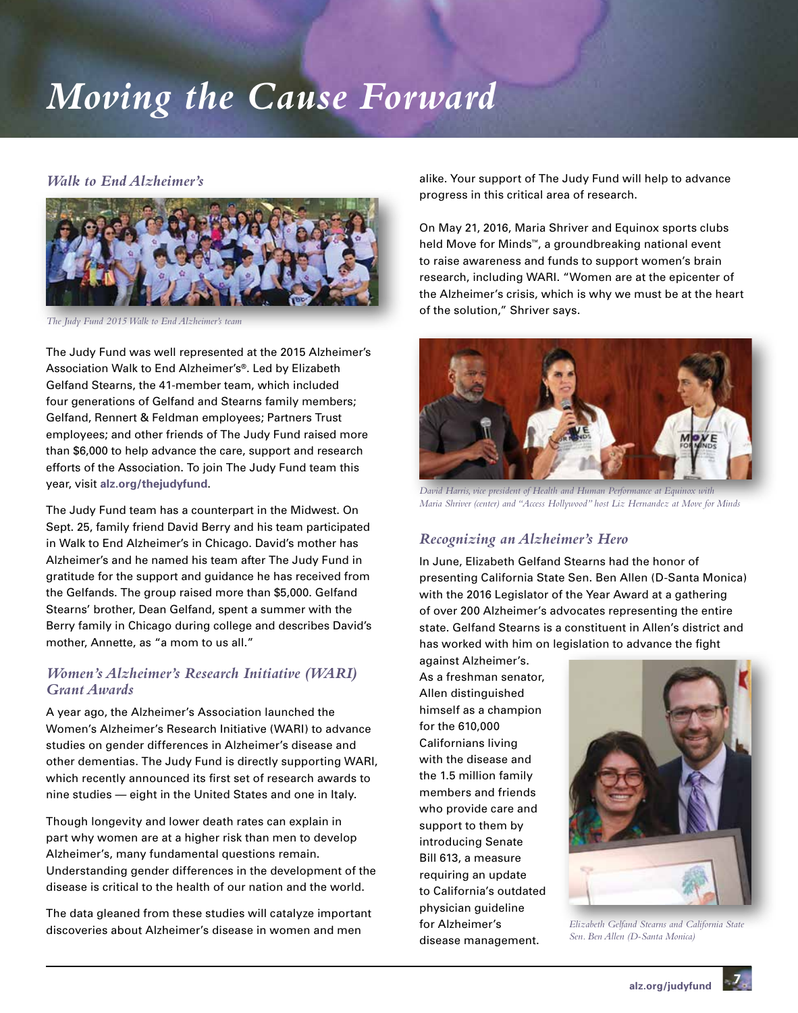# *Moving the Cause Forward*

#### *Walk to End Alzheimer's*



*The Judy Fund 2015 Walk to End Alzheimer's team*

The Judy Fund was well represented at the 2015 Alzheimer's Association Walk to End Alzheimer's®. Led by Elizabeth Gelfand Stearns, the 41-member team, which included four generations of Gelfand and Stearns family members; Gelfand, Rennert & Feldman employees; Partners Trust employees; and other friends of The Judy Fund raised more than \$6,000 to help advance the care, support and research efforts of the Association. To join The Judy Fund team this year, visit **alz.org/thejudyfund**.

The Judy Fund team has a counterpart in the Midwest. On Sept. 25, family friend David Berry and his team participated in Walk to End Alzheimer's in Chicago. David's mother has Alzheimer's and he named his team after The Judy Fund in gratitude for the support and guidance he has received from the Gelfands. The group raised more than \$5,000. Gelfand Stearns' brother, Dean Gelfand, spent a summer with the Berry family in Chicago during college and describes David's mother, Annette, as "a mom to us all."

#### *Women's Alzheimer's Research Initiative (WARI) Grant Awards*

A year ago, the Alzheimer's Association launched the Women's Alzheimer's Research Initiative (WARI) to advance studies on gender differences in Alzheimer's disease and other dementias. The Judy Fund is directly supporting WARI, which recently announced its first set of research awards to nine studies — eight in the United States and one in Italy.

Though longevity and lower death rates can explain in part why women are at a higher risk than men to develop Alzheimer's, many fundamental questions remain. Understanding gender differences in the development of the disease is critical to the health of our nation and the world.

The data gleaned from these studies will catalyze important discoveries about Alzheimer's disease in women and men

alike. Your support of The Judy Fund will help to advance progress in this critical area of research.

On May 21, 2016, Maria Shriver and Equinox sports clubs held Move for Minds™, a groundbreaking national event to raise awareness and funds to support women's brain research, including WARI. "Women are at the epicenter of the Alzheimer's crisis, which is why we must be at the heart of the solution," Shriver says.



*David Harris, vice president of Health and Human Performance at Equinox with Maria Shriver (center) and "Access Hollywood" host Liz Hernandez at Move for Minds*

### *Recognizing an Alzheimer's Hero*

In June, Elizabeth Gelfand Stearns had the honor of presenting California State Sen. Ben Allen (D-Santa Monica) with the 2016 Legislator of the Year Award at a gathering of over 200 Alzheimer's advocates representing the entire state. Gelfand Stearns is a constituent in Allen's district and has worked with him on legislation to advance the fight

against Alzheimer's. As a freshman senator, Allen distinguished himself as a champion for the 610,000 Californians living with the disease and the 1.5 million family members and friends who provide care and support to them by introducing Senate Bill 613, a measure requiring an update to California's outdated physician guideline for Alzheimer's disease management.



*Elizabeth Gelfand Stearns and California State Sen. Ben Allen (D-Santa Monica)*